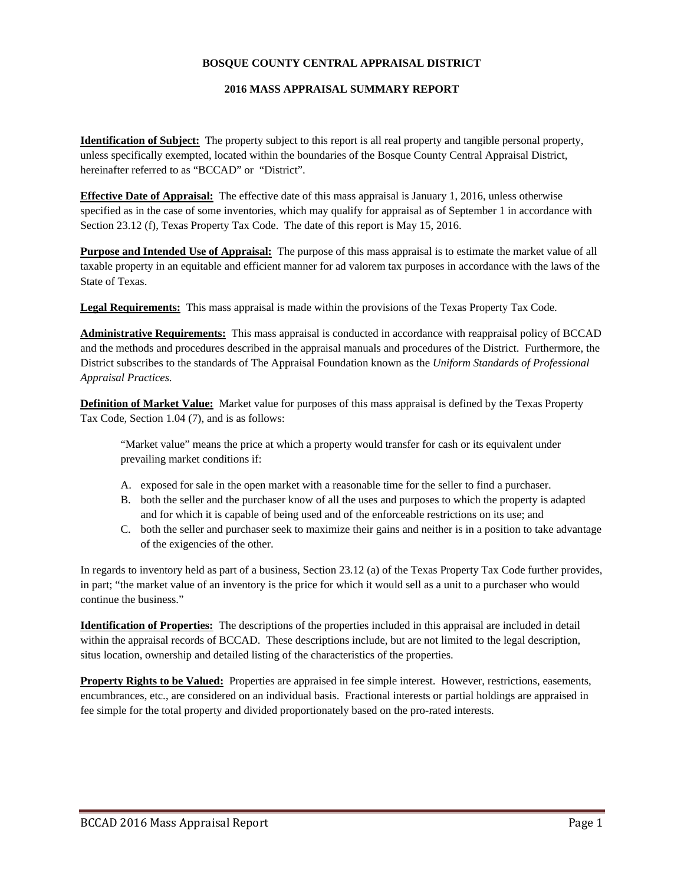## **BOSQUE COUNTY CENTRAL APPRAISAL DISTRICT**

## **2016 MASS APPRAISAL SUMMARY REPORT**

**Identification of Subject:** The property subject to this report is all real property and tangible personal property, unless specifically exempted, located within the boundaries of the Bosque County Central Appraisal District, hereinafter referred to as "BCCAD" or "District".

**Effective Date of Appraisal:** The effective date of this mass appraisal is January 1, 2016, unless otherwise specified as in the case of some inventories, which may qualify for appraisal as of September 1 in accordance with Section 23.12 (f), Texas Property Tax Code. The date of this report is May 15, 2016.

**Purpose and Intended Use of Appraisal:** The purpose of this mass appraisal is to estimate the market value of all taxable property in an equitable and efficient manner for ad valorem tax purposes in accordance with the laws of the State of Texas.

**Legal Requirements:** This mass appraisal is made within the provisions of the Texas Property Tax Code.

**Administrative Requirements:** This mass appraisal is conducted in accordance with reappraisal policy of BCCAD and the methods and procedures described in the appraisal manuals and procedures of the District. Furthermore, the District subscribes to the standards of The Appraisal Foundation known as the *Uniform Standards of Professional Appraisal Practices.* 

**Definition of Market Value:** Market value for purposes of this mass appraisal is defined by the Texas Property Tax Code, Section 1.04 (7), and is as follows:

"Market value" means the price at which a property would transfer for cash or its equivalent under prevailing market conditions if:

- A. exposed for sale in the open market with a reasonable time for the seller to find a purchaser.
- B. both the seller and the purchaser know of all the uses and purposes to which the property is adapted and for which it is capable of being used and of the enforceable restrictions on its use; and
- C. both the seller and purchaser seek to maximize their gains and neither is in a position to take advantage of the exigencies of the other.

In regards to inventory held as part of a business, Section 23.12 (a) of the Texas Property Tax Code further provides, in part; "the market value of an inventory is the price for which it would sell as a unit to a purchaser who would continue the business."

**Identification of Properties:** The descriptions of the properties included in this appraisal are included in detail within the appraisal records of BCCAD. These descriptions include, but are not limited to the legal description, situs location, ownership and detailed listing of the characteristics of the properties.

**Property Rights to be Valued:** Properties are appraised in fee simple interest. However, restrictions, easements, encumbrances, etc., are considered on an individual basis. Fractional interests or partial holdings are appraised in fee simple for the total property and divided proportionately based on the pro-rated interests.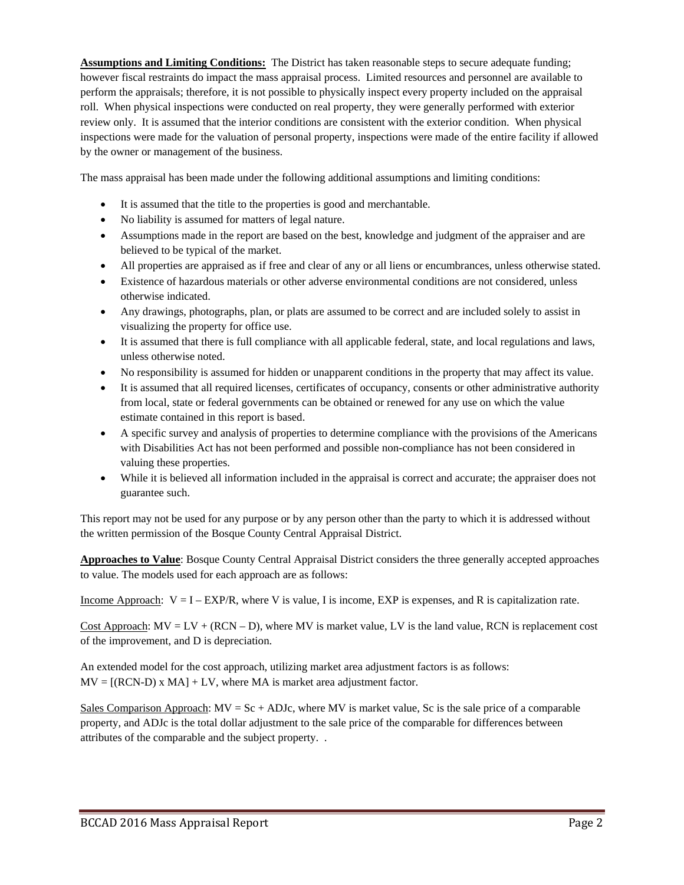**Assumptions and Limiting Conditions:** The District has taken reasonable steps to secure adequate funding; however fiscal restraints do impact the mass appraisal process. Limited resources and personnel are available to perform the appraisals; therefore, it is not possible to physically inspect every property included on the appraisal roll. When physical inspections were conducted on real property, they were generally performed with exterior review only. It is assumed that the interior conditions are consistent with the exterior condition. When physical inspections were made for the valuation of personal property, inspections were made of the entire facility if allowed by the owner or management of the business.

The mass appraisal has been made under the following additional assumptions and limiting conditions:

- It is assumed that the title to the properties is good and merchantable.
- No liability is assumed for matters of legal nature.
- Assumptions made in the report are based on the best, knowledge and judgment of the appraiser and are believed to be typical of the market.
- All properties are appraised as if free and clear of any or all liens or encumbrances, unless otherwise stated.
- Existence of hazardous materials or other adverse environmental conditions are not considered, unless otherwise indicated.
- Any drawings, photographs, plan, or plats are assumed to be correct and are included solely to assist in visualizing the property for office use.
- It is assumed that there is full compliance with all applicable federal, state, and local regulations and laws, unless otherwise noted.
- No responsibility is assumed for hidden or unapparent conditions in the property that may affect its value.
- It is assumed that all required licenses, certificates of occupancy, consents or other administrative authority from local, state or federal governments can be obtained or renewed for any use on which the value estimate contained in this report is based.
- A specific survey and analysis of properties to determine compliance with the provisions of the Americans with Disabilities Act has not been performed and possible non-compliance has not been considered in valuing these properties.
- While it is believed all information included in the appraisal is correct and accurate; the appraiser does not guarantee such.

This report may not be used for any purpose or by any person other than the party to which it is addressed without the written permission of the Bosque County Central Appraisal District.

**Approaches to Value**: Bosque County Central Appraisal District considers the three generally accepted approaches to value. The models used for each approach are as follows:

Income Approach:  $V = I - EXP/R$ , where V is value, I is income, EXP is expenses, and R is capitalization rate.

Cost Approach:  $MV = LV + (RCN - D)$ , where MV is market value, LV is the land value, RCN is replacement cost of the improvement, and D is depreciation.

An extended model for the cost approach, utilizing market area adjustment factors is as follows:  $MV = [(RCN-D) \times MA] + LV$ , where MA is market area adjustment factor.

Sales Comparison Approach:  $MV = Sc + ADJc$ , where MV is market value, Sc is the sale price of a comparable property, and ADJc is the total dollar adjustment to the sale price of the comparable for differences between attributes of the comparable and the subject property. .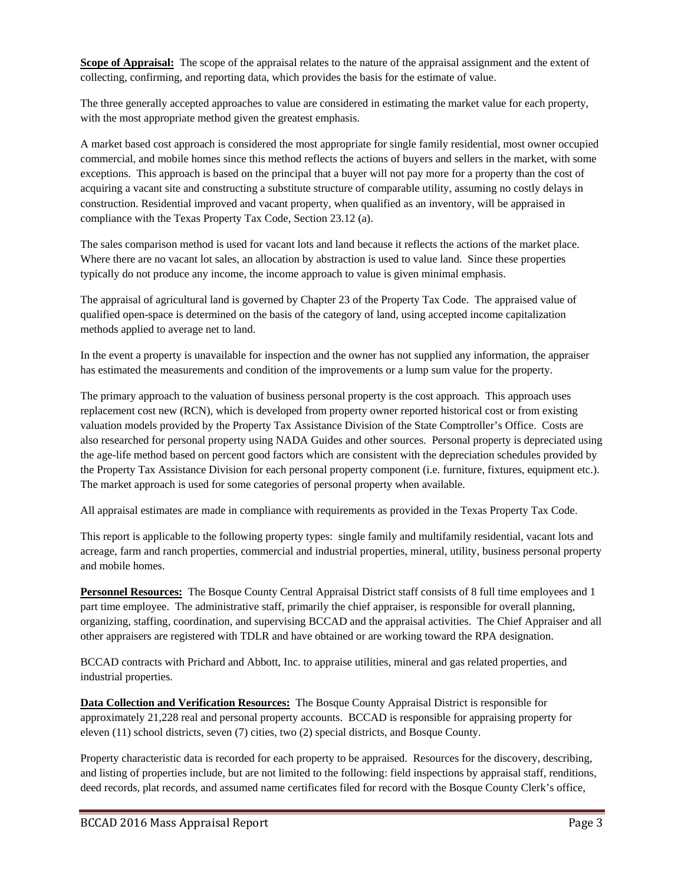**Scope of Appraisal:** The scope of the appraisal relates to the nature of the appraisal assignment and the extent of collecting, confirming, and reporting data, which provides the basis for the estimate of value.

The three generally accepted approaches to value are considered in estimating the market value for each property, with the most appropriate method given the greatest emphasis.

A market based cost approach is considered the most appropriate for single family residential, most owner occupied commercial, and mobile homes since this method reflects the actions of buyers and sellers in the market, with some exceptions. This approach is based on the principal that a buyer will not pay more for a property than the cost of acquiring a vacant site and constructing a substitute structure of comparable utility, assuming no costly delays in construction. Residential improved and vacant property, when qualified as an inventory, will be appraised in compliance with the Texas Property Tax Code, Section 23.12 (a).

The sales comparison method is used for vacant lots and land because it reflects the actions of the market place. Where there are no vacant lot sales, an allocation by abstraction is used to value land. Since these properties typically do not produce any income, the income approach to value is given minimal emphasis.

The appraisal of agricultural land is governed by Chapter 23 of the Property Tax Code. The appraised value of qualified open-space is determined on the basis of the category of land, using accepted income capitalization methods applied to average net to land.

In the event a property is unavailable for inspection and the owner has not supplied any information, the appraiser has estimated the measurements and condition of the improvements or a lump sum value for the property.

The primary approach to the valuation of business personal property is the cost approach. This approach uses replacement cost new (RCN), which is developed from property owner reported historical cost or from existing valuation models provided by the Property Tax Assistance Division of the State Comptroller's Office. Costs are also researched for personal property using NADA Guides and other sources. Personal property is depreciated using the age-life method based on percent good factors which are consistent with the depreciation schedules provided by the Property Tax Assistance Division for each personal property component (i.e. furniture, fixtures, equipment etc.). The market approach is used for some categories of personal property when available.

All appraisal estimates are made in compliance with requirements as provided in the Texas Property Tax Code.

This report is applicable to the following property types: single family and multifamily residential, vacant lots and acreage, farm and ranch properties, commercial and industrial properties, mineral, utility, business personal property and mobile homes.

**Personnel Resources:** The Bosque County Central Appraisal District staff consists of 8 full time employees and 1 part time employee. The administrative staff, primarily the chief appraiser, is responsible for overall planning, organizing, staffing, coordination, and supervising BCCAD and the appraisal activities. The Chief Appraiser and all other appraisers are registered with TDLR and have obtained or are working toward the RPA designation.

BCCAD contracts with Prichard and Abbott, Inc. to appraise utilities, mineral and gas related properties, and industrial properties.

**Data Collection and Verification Resources:** The Bosque County Appraisal District is responsible for approximately 21,228 real and personal property accounts. BCCAD is responsible for appraising property for eleven (11) school districts, seven (7) cities, two (2) special districts, and Bosque County.

Property characteristic data is recorded for each property to be appraised. Resources for the discovery, describing, and listing of properties include, but are not limited to the following: field inspections by appraisal staff, renditions, deed records, plat records, and assumed name certificates filed for record with the Bosque County Clerk's office,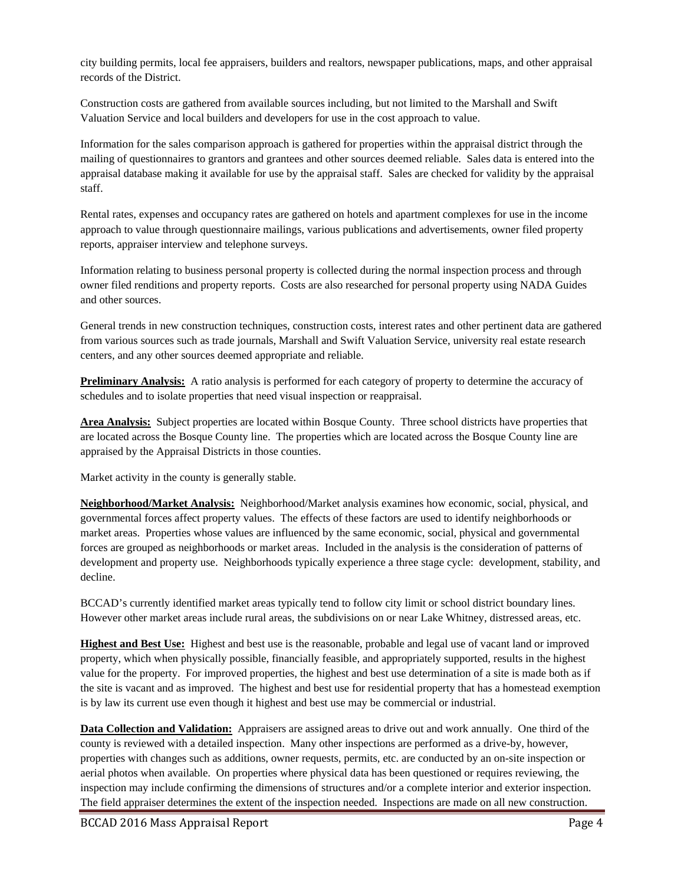city building permits, local fee appraisers, builders and realtors, newspaper publications, maps, and other appraisal records of the District.

Construction costs are gathered from available sources including, but not limited to the Marshall and Swift Valuation Service and local builders and developers for use in the cost approach to value.

Information for the sales comparison approach is gathered for properties within the appraisal district through the mailing of questionnaires to grantors and grantees and other sources deemed reliable. Sales data is entered into the appraisal database making it available for use by the appraisal staff. Sales are checked for validity by the appraisal staff.

Rental rates, expenses and occupancy rates are gathered on hotels and apartment complexes for use in the income approach to value through questionnaire mailings, various publications and advertisements, owner filed property reports, appraiser interview and telephone surveys.

Information relating to business personal property is collected during the normal inspection process and through owner filed renditions and property reports. Costs are also researched for personal property using NADA Guides and other sources.

General trends in new construction techniques, construction costs, interest rates and other pertinent data are gathered from various sources such as trade journals, Marshall and Swift Valuation Service, university real estate research centers, and any other sources deemed appropriate and reliable.

**Preliminary Analysis:** A ratio analysis is performed for each category of property to determine the accuracy of schedules and to isolate properties that need visual inspection or reappraisal.

**Area Analysis:** Subject properties are located within Bosque County. Three school districts have properties that are located across the Bosque County line. The properties which are located across the Bosque County line are appraised by the Appraisal Districts in those counties.

Market activity in the county is generally stable.

**Neighborhood/Market Analysis:** Neighborhood/Market analysis examines how economic, social, physical, and governmental forces affect property values. The effects of these factors are used to identify neighborhoods or market areas. Properties whose values are influenced by the same economic, social, physical and governmental forces are grouped as neighborhoods or market areas. Included in the analysis is the consideration of patterns of development and property use. Neighborhoods typically experience a three stage cycle: development, stability, and decline.

BCCAD's currently identified market areas typically tend to follow city limit or school district boundary lines. However other market areas include rural areas, the subdivisions on or near Lake Whitney, distressed areas, etc.

**Highest and Best Use:** Highest and best use is the reasonable, probable and legal use of vacant land or improved property, which when physically possible, financially feasible, and appropriately supported, results in the highest value for the property. For improved properties, the highest and best use determination of a site is made both as if the site is vacant and as improved. The highest and best use for residential property that has a homestead exemption is by law its current use even though it highest and best use may be commercial or industrial.

**Data Collection and Validation:** Appraisers are assigned areas to drive out and work annually. One third of the county is reviewed with a detailed inspection. Many other inspections are performed as a drive-by, however, properties with changes such as additions, owner requests, permits, etc. are conducted by an on-site inspection or aerial photos when available. On properties where physical data has been questioned or requires reviewing, the inspection may include confirming the dimensions of structures and/or a complete interior and exterior inspection. The field appraiser determines the extent of the inspection needed. Inspections are made on all new construction.